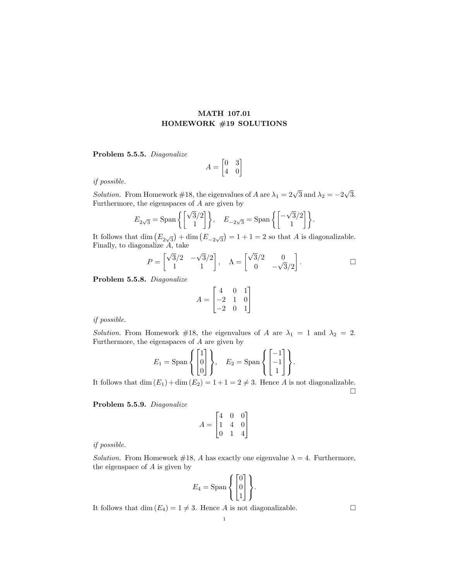## MATH 107.01 HOMEWORK #19 SOLUTIONS

Problem 5.5.5. Diagonalize

$$
A = \begin{bmatrix} 0 & 3 \\ 4 & 0 \end{bmatrix}
$$

if possible.

Solution. From Homework #18, the eigenvalues of A are  $\lambda_1 = 2\sqrt{3}$  and  $\lambda_2 = -2$ √ 3. Furthermore, the eigenspaces of A are given by

$$
E_{2\sqrt{3}} = \text{Span}\left\{ \begin{bmatrix} \sqrt{3}/2 \\ 1 \end{bmatrix} \right\}, \quad E_{-2\sqrt{3}} = \text{Span}\left\{ \begin{bmatrix} -\sqrt{3}/2 \\ 1 \end{bmatrix} \right\}.
$$

It follows that  $\dim (E_{2\sqrt{3}}) + \dim (E_{-2\sqrt{3}}) = 1 + 1 = 2$  so that A is diagonalizable. Finally, to diagonalize A, take

$$
P = \begin{bmatrix} \sqrt{3}/2 & -\sqrt{3}/2 \\ 1 & 1 \end{bmatrix}, \quad \Lambda = \begin{bmatrix} \sqrt{3}/2 & 0 \\ 0 & -\sqrt{3}/2 \end{bmatrix}.
$$

Problem 5.5.8. Diagonalize

$$
A = \begin{bmatrix} 4 & 0 & 1 \\ -2 & 1 & 0 \\ -2 & 0 & 1 \end{bmatrix}
$$

if possible.

Solution. From Homework #18, the eigenvalues of A are  $\lambda_1 = 1$  and  $\lambda_2 = 2$ . Furthermore, the eigenspaces of  $A$  are given by

$$
E_1 = \text{Span}\left\{ \begin{bmatrix} 1 \\ 0 \\ 0 \end{bmatrix} \right\}, \quad E_2 = \text{Span}\left\{ \begin{bmatrix} -1 \\ -1 \\ 1 \end{bmatrix} \right\}.
$$

It follows that dim  $(E_1) + \dim(E_2) = 1 + 1 = 2 \neq 3$ . Hence A is not diagonalizable.  $\Box$ 

Problem 5.5.9. Diagonalize

$$
A = \begin{bmatrix} 4 & 0 & 0 \\ 1 & 4 & 0 \\ 0 & 1 & 4 \end{bmatrix}
$$

if possible.

Solution. From Homework #18, A has exactly one eigenvalue  $\lambda = 4$ . Furthermore, the eigenspace of  $A$  is given by

$$
E_4 = \text{Span}\left\{ \begin{bmatrix} 0 \\ 0 \\ 1 \end{bmatrix} \right\}.
$$

It follows that dim  $(E_4) = 1 \neq 3$ . Hence A is not diagonalizable.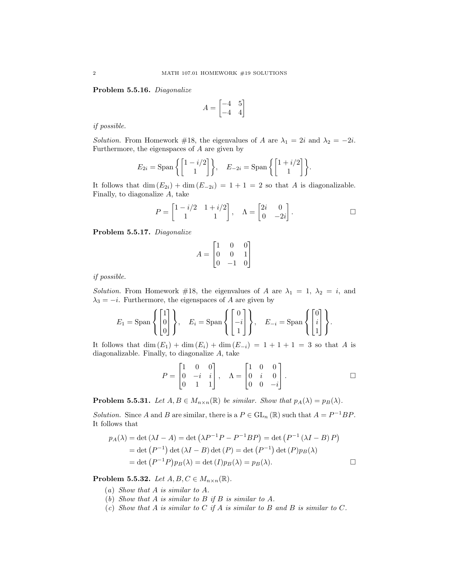Problem 5.5.16. Diagonalize

$$
A = \begin{bmatrix} -4 & 5\\ -4 & 4 \end{bmatrix}
$$

if possible.

Solution. From Homework #18, the eigenvalues of A are  $\lambda_1 = 2i$  and  $\lambda_2 = -2i$ . Furthermore, the eigenspaces of A are given by

$$
E_{2i} = \text{Span}\left\{ \begin{bmatrix} 1 - i/2 \\ 1 \end{bmatrix} \right\}, \quad E_{-2i} = \text{Span}\left\{ \begin{bmatrix} 1 + i/2 \\ 1 \end{bmatrix} \right\}.
$$

It follows that dim  $(E_{2i})$  + dim  $(E_{-2i}) = 1 + 1 = 2$  so that A is diagonalizable. Finally, to diagonalize A, take

$$
P = \begin{bmatrix} 1 - i/2 & 1 + i/2 \\ 1 & 1 \end{bmatrix}, \quad \Lambda = \begin{bmatrix} 2i & 0 \\ 0 & -2i \end{bmatrix}.
$$

Problem 5.5.17. Diagonalize

$$
A = \begin{bmatrix} 1 & 0 & 0 \\ 0 & 0 & 1 \\ 0 & -1 & 0 \end{bmatrix}
$$

if possible.

Solution. From Homework #18, the eigenvalues of A are  $\lambda_1 = 1$ ,  $\lambda_2 = i$ , and  $\lambda_3 = -i$ . Furthermore, the eigenspaces of A are given by

$$
E_1 = \text{Span}\left\{ \begin{bmatrix} 1 \\ 0 \\ 0 \end{bmatrix} \right\}, \quad E_i = \text{Span}\left\{ \begin{bmatrix} 0 \\ -i \\ 1 \end{bmatrix} \right\}, \quad E_{-i} = \text{Span}\left\{ \begin{bmatrix} 0 \\ i \\ 1 \end{bmatrix} \right\}.
$$

It follows that  $\dim(E_1) + \dim(E_i) + \dim(E_{-i}) = 1 + 1 + 1 = 3$  so that A is diagonalizable. Finally, to diagonalize A, take

$$
P = \begin{bmatrix} 1 & 0 & 0 \\ 0 & -i & i \\ 0 & 1 & 1 \end{bmatrix}, \quad \Lambda = \begin{bmatrix} 1 & 0 & 0 \\ 0 & i & 0 \\ 0 & 0 & -i \end{bmatrix}.
$$

**Problem 5.5.31.** Let  $A, B \in M_{n \times n}(\mathbb{R})$  be similar. Show that  $p_A(\lambda) = p_B(\lambda)$ .

Solution. Since A and B are similar, there is a  $P \in GL_n(\mathbb{R})$  such that  $A = P^{-1}BP$ . It follows that

$$
p_A(\lambda) = \det(\lambda I - A) = \det(\lambda P^{-1}P - P^{-1}BP) = \det(P^{-1}(\lambda I - B)P)
$$
  
= det (P<sup>-1</sup>) det (\lambda I - B) det (P) = det (P<sup>-1</sup>) det (P)p<sub>B</sub>(\lambda)  
= det (P<sup>-1</sup>P)p<sub>B</sub>(\lambda) = det (I)p<sub>B</sub>(\lambda) = p<sub>B</sub>(\lambda).

Problem 5.5.32. Let  $A, B, C \in M_{n \times n}(\mathbb{R})$ .

- (a) Show that A is similar to A.
- (b) Show that A is similar to B if B is similar to A.
- (c) Show that  $A$  is similar to  $C$  if  $A$  is similar to  $B$  and  $B$  is similar to  $C$ .